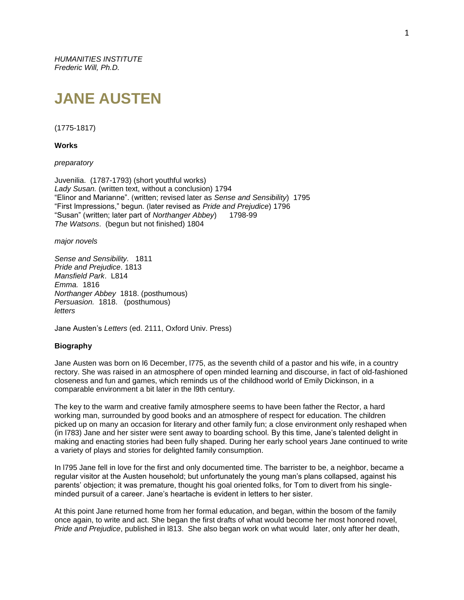*HUMANITIES INSTITUTE Frederic Will, Ph.D.*

# **JANE AUSTEN**

### (1775-1817)

**Works**

*preparatory*

Juvenilia. (1787-1793) (short youthful works) *Lady Susan.* (written text, without a conclusion) 1794 "Elinor and Marianne". (written; revised later as *Sense and Sensibility*) 1795 "First Impressions," begun. (later revised as *Pride and Prejudice*) 1796 "Susan" (written; later part of *Northanger Abbey*) *The Watsons*. (begun but not finished) 1804

*major novels*

*Sense and Sensibility.* 1811 *Pride and Prejudice*. 1813 *Mansfield Park*. L814 *Emma.* 1816 *Northanger Abbey* 1818. (posthumous) *Persuasion.* 1818. (posthumous) *letters*

Jane Austen's *Letters* (ed. 2111, Oxford Univ. Press)

## **Biography**

Jane Austen was born on l6 December, l775, as the seventh child of a pastor and his wife, in a country rectory. She was raised in an atmosphere of open minded learning and discourse, in fact of old-fashioned closeness and fun and games, which reminds us of the childhood world of Emily Dickinson, in a comparable environment a bit later in the l9th century.

The key to the warm and creative family atmosphere seems to have been father the Rector, a hard working man, surrounded by good books and an atmosphere of respect for education. The children picked up on many an occasion for literary and other family fun; a close environment only reshaped when (in l783) Jane and her sister were sent away to boarding school. By this time, Jane's talented delight in making and enacting stories had been fully shaped. During her early school years Jane continued to write a variety of plays and stories for delighted family consumption.

In l795 Jane fell in love for the first and only documented time. The barrister to be, a neighbor, became a regular visitor at the Austen household; but unfortunately the young man's plans collapsed, against his parents' objection; it was premature, thought his goal oriented folks, for Tom to divert from his singleminded pursuit of a career. Jane's heartache is evident in letters to her sister.

At this point Jane returned home from her formal education, and began, within the bosom of the family once again, to write and act. She began the first drafts of what would become her most honored novel, *Pride and Prejudice*, published in l813. She also began work on what would later, only after her death,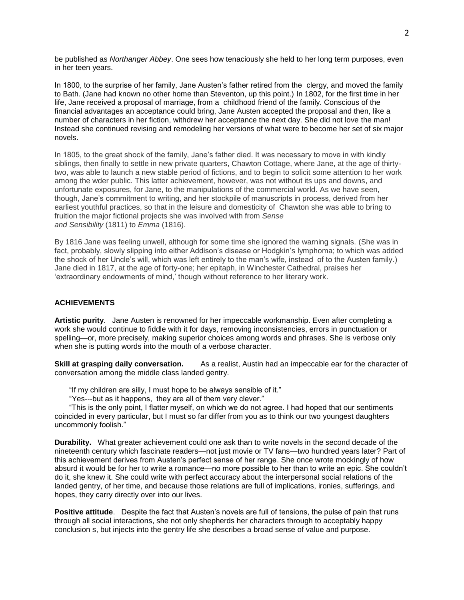be published as *Northanger Abbey*. One sees how tenaciously she held to her long term purposes, even in her teen years.

In 1800, to the surprise of her family, Jane Austen's father retired from the clergy, and moved the family to Bath. (Jane had known no other home than Steventon, up this point.) In 1802, for the first time in her life, Jane received a proposal of marriage, from a childhood friend of the family. Conscious of the financial advantages an acceptance could bring, Jane Austen accepted the proposal and then, like a number of characters in her fiction, withdrew her acceptance the next day. She did not love the man! Instead she continued revising and remodeling her versions of what were to become her set of six major novels.

In 1805, to the great shock of the family, Jane's father died. It was necessary to move in with kindly siblings, then finally to settle in new private quarters, Chawton Cottage, where Jane, at the age of thirtytwo, was able to launch a new stable period of fictions, and to begin to solicit some attention to her work among the wder public. This latter achievement, however, was not without its ups and downs, and unfortunate exposures, for Jane, to the manipulations of the commercial world. As we have seen, though, Jane's commitment to writing, and her stockpile of manuscripts in process, derived from her earliest youthful practices, so that in the leisure and domesticity of Chawton she was able to bring to fruition the major fictional projects she was involved with from *Sense and Sensibility* (1811) to *Emma* (1816).

By 1816 Jane was feeling unwell, although for some time she ignored the warning signals. (She was in fact, probably, slowly slipping into either Addison's disease or Hodgkin's lymphoma; to which was added the shock of her Uncle's will, which was left entirely to the man's wife, instead of to the Austen family.) Jane died in 1817, at the age of forty-one; her epitaph, in Winchester Cathedral, praises her 'extraordinary endowments of mind,' though without reference to her literary work.

# **ACHIEVEMENTS**

**Artistic purity**. Jane Austen is renowned for her impeccable workmanship. Even after completing a work she would continue to fiddle with it for days, removing inconsistencies, errors in punctuation or spelling—or, more precisely, making superior choices among words and phrases. She is verbose only when she is putting words into the mouth of a verbose character.

**Skill at grasping daily conversation.** As a realist, Austin had an impeccable ear for the character of conversation among the middle class landed gentry.

"If my children are silly, I must hope to be always sensible of it."

"Yes---but as it happens, they are all of them very clever."

 "This is the only point, I flatter myself, on which we do not agree. I had hoped that our sentiments coincided in every particular, but I must so far differ from you as to think our two youngest daughters uncommonly foolish."

**Durability.** What greater achievement could one ask than to write novels in the second decade of the nineteenth century which fascinate readers—not just movie or TV fans—two hundred years later? Part of this achievement derives from Austen's perfect sense of her range. She once wrote mockingly of how absurd it would be for her to write a romance—no more possible to her than to write an epic. She couldn't do it, she knew it. She could write with perfect accuracy about the interpersonal social relations of the landed gentry, of her time, and because those relations are full of implications, ironies, sufferings, and hopes, they carry directly over into our lives.

**Positive attitude**. Despite the fact that Austen's novels are full of tensions, the pulse of pain that runs through all social interactions, she not only shepherds her characters through to acceptably happy conclusion s, but injects into the gentry life she describes a broad sense of value and purpose.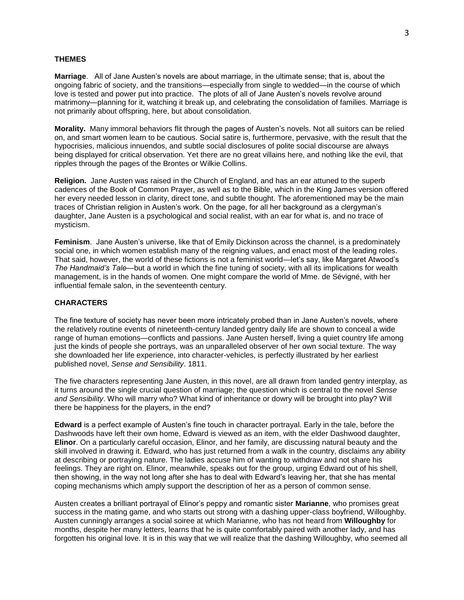### **THEMES**

**Marriage**. All of Jane Austen's novels are about marriage, in the ultimate sense; that is, about the ongoing fabric of society, and the transitions—especially from single to wedded—in the course of which love is tested and power put into practice. The plots of all of Jane Austen's novels revolve around matrimony—planning for it, watching it break up, and celebrating the consolidation of families. Marriage is not primarily about offspring, here, but about consolidation.

**Morality.** Many immoral behaviors flit through the pages of Austen's novels. Not all suitors can be relied on, and smart women learn to be cautious. Social satire is, furthermore, pervasive, with the result that the hypocrisies, malicious innuendos, and subtle social disclosures of polite social discourse are always being displayed for critical observation. Yet there are no great villains here, and nothing like the evil, that ripples through the pages of the Brontes or Wilkie Collins.

**Religion.** Jane Austen was raised in the Church of England, and has an ear attuned to the superb cadences of the Book of Common Prayer, as well as to the Bible, which in the King James version offered her every needed lesson in clarity, direct tone, and subtle thought. The aforementioned may be the main traces of Christian religion in Austen's work. On the page, for all her background as a clergyman's daughter, Jane Austen is a psychological and social realist, with an ear for what is, and no trace of mysticism.

**Feminism**. Jane Austen's universe, like that of Emily Dickinson across the channel, is a predominately social one, in which women establish many of the reigning values, and enact most of the leading roles. That said, however, the world of these fictions is not a feminist world—let's say, like Margaret Atwood's *The Handmaid's Tale*—but a world in which the fine tuning of society, with all its implications for wealth management, is in the hands of women. One might compare the world of Mme. de Sévigné, with her influential female salon, in the seventeenth century.

## **CHARACTERS**

The fine texture of society has never been more intricately probed than in Jane Austen's novels, where the relatively routine events of nineteenth-century landed gentry daily life are shown to conceal a wide range of human emotions—conflicts and passions. Jane Austen herself, living a quiet country life among just the kinds of people she portrays, was an unparalleled observer of her own social texture. The way she downloaded her life experience, into character-vehicles, is perfectly illustrated by her earliest published novel, *Sense and Sensibility*. 1811.

The five characters representing Jane Austen, in this novel, are all drawn from landed gentry interplay, as it turns around the single crucial question of marriage; the question which is central to the novel *Sense and Sensibility*. Who will marry who? What kind of inheritance or dowry will be brought into play? Will there be happiness for the players, in the end?

**Edward** is a perfect example of Austen's fine touch in character portrayal. Early in the tale, before the Dashwoods have left their own home, Edward is viewed as an item, with the elder Dashwood daughter, **Elinor**. On a particularly careful occasion, Elinor, and her family, are discussing natural beauty and the skill involved in drawing it. Edward, who has just returned from a walk in the country, disclaims any ability at describing or portraying nature. The ladies accuse him of wanting to withdraw and not share his feelings. They are right on. Elinor, meanwhile, speaks out for the group, urging Edward out of his shell, then showing, in the way not long after she has to deal with Edward's leaving her, that she has mental coping mechanisms which amply support the description of her as a person of common sense.

Austen creates a brilliant portrayal of Elinor's peppy and romantic sister **Marianne**, who promises great success in the mating game, and who starts out strong with a dashing upper-class boyfriend, Willoughby. Austen cunningly arranges a social soiree at which Marianne, who has not heard from **Willoughby** for months, despite her many letters, learns that he is quite comfortably paired with another lady, and has forgotten his original love. It is in this way that we will realize that the dashing Willoughby, who seemed all